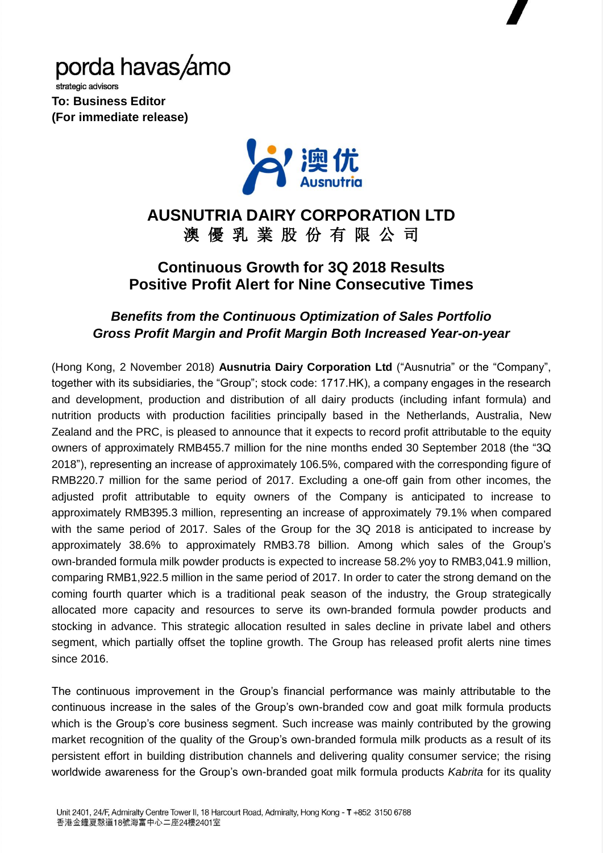# porda havas/amo

strategic advisors **To: Business Editor (For immediate release)**



## **AUSNUTRIA DAIRY CORPORATION LTD** 澳 優 乳 業 股 份 有 限 公 司

## **Continuous Growth for 3Q 2018 Results Positive Profit Alert for Nine Consecutive Times**

### *Benefits from the Continuous Optimization of Sales Portfolio Gross Profit Margin and Profit Margin Both Increased Year-on-year*

(Hong Kong, 2 November 2018) **Ausnutria Dairy Corporation Ltd** ("Ausnutria" or the "Company", together with its subsidiaries, the "Group"; stock code: 1717.HK), a company engages in the research and development, production and distribution of all dairy products (including infant formula) and nutrition products with production facilities principally based in the Netherlands, Australia, New Zealand and the PRC, is pleased to announce that it expects to record profit attributable to the equity owners of approximately RMB455.7 million for the nine months ended 30 September 2018 (the "3Q 2018"), representing an increase of approximately 106.5%, compared with the corresponding figure of RMB220.7 million for the same period of 2017. Excluding a one-off gain from other incomes, the adjusted profit attributable to equity owners of the Company is anticipated to increase to approximately RMB395.3 million, representing an increase of approximately 79.1% when compared with the same period of 2017. Sales of the Group for the 3Q 2018 is anticipated to increase by approximately 38.6% to approximately RMB3.78 billion. Among which sales of the Group's own-branded formula milk powder products is expected to increase 58.2% yoy to RMB3,041.9 million, comparing RMB1,922.5 million in the same period of 2017. In order to cater the strong demand on the coming fourth quarter which is a traditional peak season of the industry, the Group strategically allocated more capacity and resources to serve its own-branded formula powder products and stocking in advance. This strategic allocation resulted in sales decline in private label and others segment, which partially offset the topline growth. The Group has released profit alerts nine times since 2016.

The continuous improvement in the Group's financial performance was mainly attributable to the continuous increase in the sales of the Group's own-branded cow and goat milk formula products which is the Group's core business segment. Such increase was mainly contributed by the growing market recognition of the quality of the Group's own-branded formula milk products as a result of its persistent effort in building distribution channels and delivering quality consumer service; the rising worldwide awareness for the Group's own-branded goat milk formula products *Kabrita* for its quality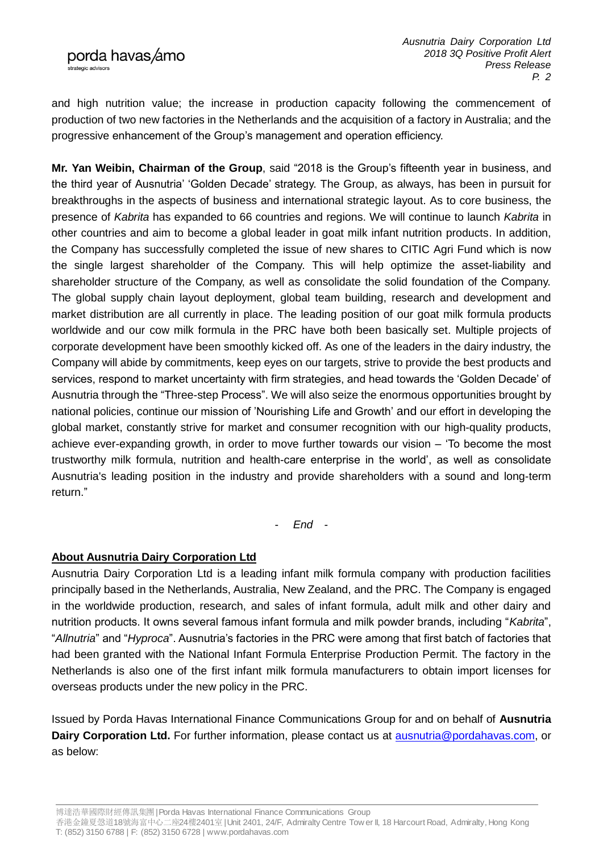and high nutrition value; the increase in production capacity following the commencement of production of two new factories in the Netherlands and the acquisition of a factory in Australia; and the progressive enhancement of the Group's management and operation efficiency.

**Mr. Yan Weibin, Chairman of the Group**, said "2018 is the Group's fifteenth year in business, and the third year of Ausnutria' 'Golden Decade' strategy. The Group, as always, has been in pursuit for breakthroughs in the aspects of business and international strategic layout. As to core business, the presence of *Kabrita* has expanded to 66 countries and regions. We will continue to launch *Kabrita* in other countries and aim to become a global leader in goat milk infant nutrition products. In addition, the Company has successfully completed the issue of new shares to CITIC Agri Fund which is now the single largest shareholder of the Company. This will help optimize the asset-liability and shareholder structure of the Company, as well as consolidate the solid foundation of the Company. The global supply chain layout deployment, global team building, research and development and market distribution are all currently in place. The leading position of our goat milk formula products worldwide and our cow milk formula in the PRC have both been basically set. Multiple projects of corporate development have been smoothly kicked off. As one of the leaders in the dairy industry, the Company will abide by commitments, keep eyes on our targets, strive to provide the best products and services, respond to market uncertainty with firm strategies, and head towards the 'Golden Decade' of Ausnutria through the "Three-step Process". We will also seize the enormous opportunities brought by national policies, continue our mission of 'Nourishing Life and Growth' and our effort in developing the global market, constantly strive for market and consumer recognition with our high-quality products, achieve ever-expanding growth, in order to move further towards our vision – 'To become the most trustworthy milk formula, nutrition and health-care enterprise in the world', as well as consolidate Ausnutria's leading position in the industry and provide shareholders with a sound and long-term return."

- *End -*

#### **About Ausnutria Dairy Corporation Ltd**

Ausnutria Dairy Corporation Ltd is a leading infant milk formula company with production facilities principally based in the Netherlands, Australia, New Zealand, and the PRC. The Company is engaged in the worldwide production, research, and sales of infant formula, adult milk and other dairy and nutrition products. It owns several famous infant formula and milk powder brands, including "*Kabrita*", "*Allnutria*" and "*Hyproca*". Ausnutria's factories in the PRC were among that first batch of factories that had been granted with the National Infant Formula Enterprise Production Permit. The factory in the Netherlands is also one of the first infant milk formula manufacturers to obtain import licenses for overseas products under the new policy in the PRC.

Issued by Porda Havas International Finance Communications Group for and on behalf of **Ausnutria**  Dairy Corporation Ltd. For further information, please contact us at **ausnutria@pordahavas.com**, or as below:

博達浩華國際財經傳訊集團| Porda Havas International Finance Communications Group

香港金鐘夏愨道18號海富中心二座24樓2401室 | Unit 2401, 24/F, Admiralty Centre Tow er II, 18 Harcourt Road, Admiralty, Hong Kong T: (852) 3150 6788 | F: (852) 3150 6728 | www.pordahavas.com